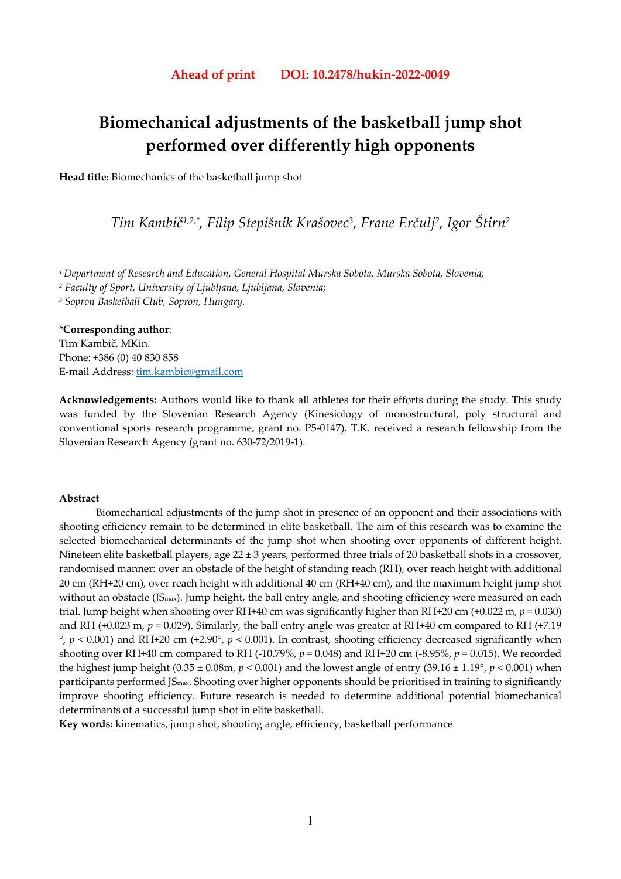# **Biomechanical adjustments of the basketball jump shot performed over differently high opponents**

**Head title:** Biomechanics of the basketball jump shot

*Tim Kambič1,2,\*, Filip Stepišnik Krašovec3, Frane Erčulj2, Igor Štirn2* 

*1 Department of Research and Education, General Hospital Murska Sobota, Murska Sobota, Slovenia;* 

*2 Faculty of Sport, University of Ljubljana, Ljubljana, Slovenia;* 

*3 Sopron Basketball Club, Sopron, Hungary.* 

\***Corresponding author**: Tim Kambič, MKin. Phone: +386 (0) 40 830 858 E-mail Address: tim.kambic@gmail.com

**Acknowledgements:** Authors would like to thank all athletes for their efforts during the study. This study was funded by the Slovenian Research Agency (Kinesiology of monostructural, poly structural and conventional sports research programme, grant no. P5-0147). T.K. received a research fellowship from the Slovenian Research Agency (grant no. 630-72/2019-1).

## **Abstract**

Biomechanical adjustments of the jump shot in presence of an opponent and their associations with shooting efficiency remain to be determined in elite basketball. The aim of this research was to examine the selected biomechanical determinants of the jump shot when shooting over opponents of different height. Nineteen elite basketball players, age  $22 \pm 3$  years, performed three trials of 20 basketball shots in a crossover, randomised manner: over an obstacle of the height of standing reach (RH), over reach height with additional 20 cm (RH+20 cm), over reach height with additional 40 cm (RH+40 cm), and the maximum height jump shot without an obstacle (JS<sub>max</sub>). Jump height, the ball entry angle, and shooting efficiency were measured on each trial. Jump height when shooting over RH+40 cm was significantly higher than RH+20 cm (+0.022 m, *p* = 0.030) and RH (+0.023 m, *p* = 0.029). Similarly, the ball entry angle was greater at RH+40 cm compared to RH (+7.19  $\degree$ ,  $p$  < 0.001) and RH+20 cm (+2.90 $\degree$ ,  $p$  < 0.001). In contrast, shooting efficiency decreased significantly when shooting over RH+40 cm compared to RH (-10.79%, *p* = 0.048) and RH+20 cm (-8.95%, *p* = 0.015). We recorded the highest jump height  $(0.35 \pm 0.08$ m,  $p < 0.001$ ) and the lowest angle of entry  $(39.16 \pm 1.19^{\circ}, p < 0.001)$  when participants performed JSmax. Shooting over higher opponents should be prioritised in training to significantly improve shooting efficiency. Future research is needed to determine additional potential biomechanical determinants of a successful jump shot in elite basketball.

**Key words:** kinematics, jump shot, shooting angle, efficiency, basketball performance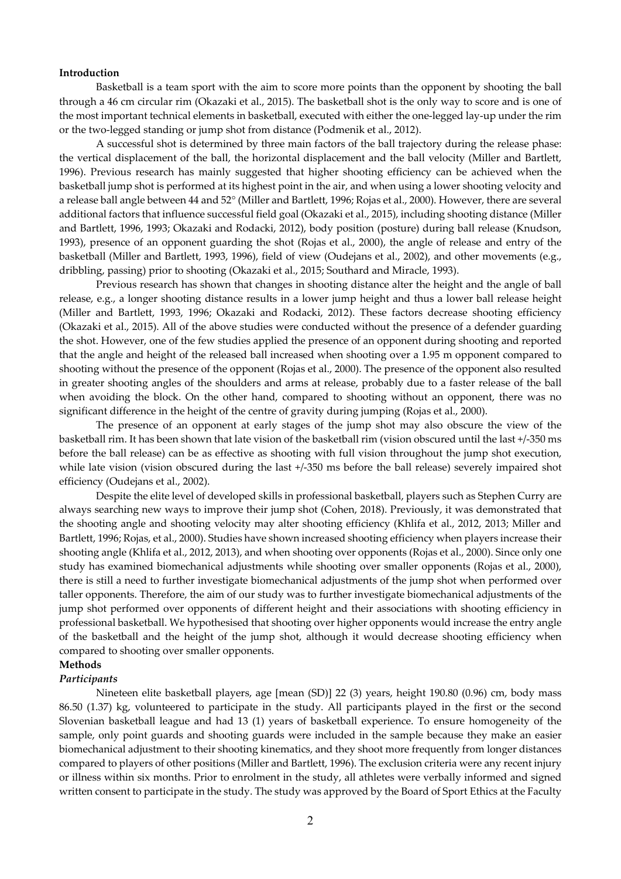## **Introduction**

Basketball is a team sport with the aim to score more points than the opponent by shooting the ball through a 46 cm circular rim (Okazaki et al., 2015). The basketball shot is the only way to score and is one of the most important technical elements in basketball, executed with either the one-legged lay-up under the rim or the two-legged standing or jump shot from distance (Podmenik et al., 2012).

A successful shot is determined by three main factors of the ball trajectory during the release phase: the vertical displacement of the ball, the horizontal displacement and the ball velocity (Miller and Bartlett, 1996). Previous research has mainly suggested that higher shooting efficiency can be achieved when the basketball jump shot is performed at its highest point in the air, and when using a lower shooting velocity and a release ball angle between 44 and 52° (Miller and Bartlett, 1996; Rojas et al., 2000). However, there are several additional factors that influence successful field goal (Okazaki et al., 2015), including shooting distance (Miller and Bartlett, 1996, 1993; Okazaki and Rodacki, 2012), body position (posture) during ball release (Knudson, 1993), presence of an opponent guarding the shot (Rojas et al., 2000), the angle of release and entry of the basketball (Miller and Bartlett, 1993, 1996), field of view (Oudejans et al., 2002), and other movements (e.g., dribbling, passing) prior to shooting (Okazaki et al., 2015; Southard and Miracle, 1993).

Previous research has shown that changes in shooting distance alter the height and the angle of ball release, e.g., a longer shooting distance results in a lower jump height and thus a lower ball release height (Miller and Bartlett, 1993, 1996; Okazaki and Rodacki, 2012). These factors decrease shooting efficiency (Okazaki et al., 2015). All of the above studies were conducted without the presence of a defender guarding the shot. However, one of the few studies applied the presence of an opponent during shooting and reported that the angle and height of the released ball increased when shooting over a 1.95 m opponent compared to shooting without the presence of the opponent (Rojas et al., 2000). The presence of the opponent also resulted in greater shooting angles of the shoulders and arms at release, probably due to a faster release of the ball when avoiding the block. On the other hand, compared to shooting without an opponent, there was no significant difference in the height of the centre of gravity during jumping (Rojas et al., 2000).

The presence of an opponent at early stages of the jump shot may also obscure the view of the basketball rim. It has been shown that late vision of the basketball rim (vision obscured until the last +/-350 ms before the ball release) can be as effective as shooting with full vision throughout the jump shot execution, while late vision (vision obscured during the last  $+/350$  ms before the ball release) severely impaired shot efficiency (Oudejans et al., 2002).

Despite the elite level of developed skills in professional basketball, players such as Stephen Curry are always searching new ways to improve their jump shot (Cohen, 2018). Previously, it was demonstrated that the shooting angle and shooting velocity may alter shooting efficiency (Khlifa et al., 2012, 2013; Miller and Bartlett, 1996; Rojas, et al., 2000). Studies have shown increased shooting efficiency when players increase their shooting angle (Khlifa et al., 2012, 2013), and when shooting over opponents (Rojas et al., 2000). Since only one study has examined biomechanical adjustments while shooting over smaller opponents (Rojas et al., 2000), there is still a need to further investigate biomechanical adjustments of the jump shot when performed over taller opponents. Therefore, the aim of our study was to further investigate biomechanical adjustments of the jump shot performed over opponents of different height and their associations with shooting efficiency in professional basketball. We hypothesised that shooting over higher opponents would increase the entry angle of the basketball and the height of the jump shot, although it would decrease shooting efficiency when compared to shooting over smaller opponents.

# **Methods**

## *Participants*

Nineteen elite basketball players, age [mean (SD)] 22 (3) years, height 190.80 (0.96) cm, body mass 86.50 (1.37) kg, volunteered to participate in the study. All participants played in the first or the second Slovenian basketball league and had 13 (1) years of basketball experience. To ensure homogeneity of the sample, only point guards and shooting guards were included in the sample because they make an easier biomechanical adjustment to their shooting kinematics, and they shoot more frequently from longer distances compared to players of other positions (Miller and Bartlett, 1996). The exclusion criteria were any recent injury or illness within six months. Prior to enrolment in the study, all athletes were verbally informed and signed written consent to participate in the study. The study was approved by the Board of Sport Ethics at the Faculty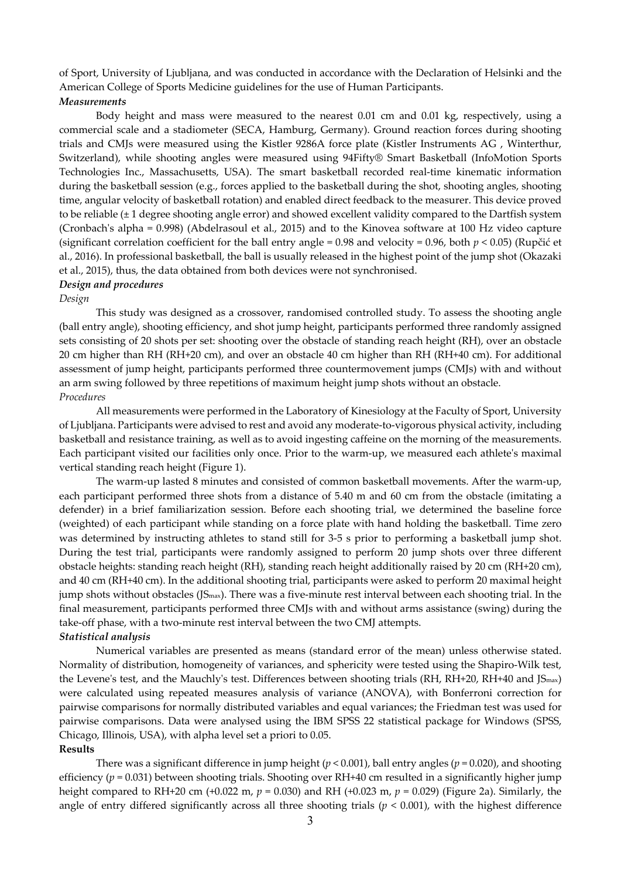of Sport, University of Ljubljana, and was conducted in accordance with the Declaration of Helsinki and the American College of Sports Medicine guidelines for the use of Human Participants. *Measurements* 

Body height and mass were measured to the nearest 0.01 cm and 0.01 kg, respectively, using a commercial scale and a stadiometer (SECA, Hamburg, Germany). Ground reaction forces during shooting trials and CMJs were measured using the Kistler 9286A force plate (Kistler Instruments AG , Winterthur, Switzerland), while shooting angles were measured using 94Fifty® Smart Basketball (InfoMotion Sports Technologies Inc., Massachusetts, USA). The smart basketball recorded real-time kinematic information during the basketball session (e.g., forces applied to the basketball during the shot, shooting angles, shooting time, angular velocity of basketball rotation) and enabled direct feedback to the measurer. This device proved to be reliable (± 1 degree shooting angle error) and showed excellent validity compared to the Dartfish system (Cronbach's alpha = 0.998) (Abdelrasoul et al., 2015) and to the Kinovea software at 100 Hz video capture (significant correlation coefficient for the ball entry angle = 0.98 and velocity = 0.96, both *p* < 0.05) (Rupčić et al., 2016). In professional basketball, the ball is usually released in the highest point of the jump shot (Okazaki et al., 2015), thus, the data obtained from both devices were not synchronised.

# *Design and procedures*

### *Design*

This study was designed as a crossover, randomised controlled study. To assess the shooting angle (ball entry angle), shooting efficiency, and shot jump height, participants performed three randomly assigned sets consisting of 20 shots per set: shooting over the obstacle of standing reach height (RH), over an obstacle 20 cm higher than RH (RH+20 cm), and over an obstacle 40 cm higher than RH (RH+40 cm). For additional assessment of jump height, participants performed three countermovement jumps (CMJs) with and without an arm swing followed by three repetitions of maximum height jump shots without an obstacle. *Procedures* 

All measurements were performed in the Laboratory of Kinesiology at the Faculty of Sport, University of Ljubljana. Participants were advised to rest and avoid any moderate-to-vigorous physical activity, including basketball and resistance training, as well as to avoid ingesting caffeine on the morning of the measurements. Each participant visited our facilities only once. Prior to the warm-up, we measured each athlete's maximal vertical standing reach height (Figure 1).

The warm-up lasted 8 minutes and consisted of common basketball movements. After the warm-up, each participant performed three shots from a distance of 5.40 m and 60 cm from the obstacle (imitating a defender) in a brief familiarization session. Before each shooting trial, we determined the baseline force (weighted) of each participant while standing on a force plate with hand holding the basketball. Time zero was determined by instructing athletes to stand still for 3-5 s prior to performing a basketball jump shot. During the test trial, participants were randomly assigned to perform 20 jump shots over three different obstacle heights: standing reach height (RH), standing reach height additionally raised by 20 cm (RH+20 cm), and 40 cm (RH+40 cm). In the additional shooting trial, participants were asked to perform 20 maximal height jump shots without obstacles (JSmax). There was a five-minute rest interval between each shooting trial. In the final measurement, participants performed three CMJs with and without arms assistance (swing) during the take-off phase, with a two-minute rest interval between the two CMJ attempts. *Statistical analysis* 

Numerical variables are presented as means (standard error of the mean) unless otherwise stated. Normality of distribution, homogeneity of variances, and sphericity were tested using the Shapiro-Wilk test, the Levene's test, and the Mauchly's test. Differences between shooting trials (RH, RH+20, RH+40 and JSmax) were calculated using repeated measures analysis of variance (ANOVA), with Bonferroni correction for pairwise comparisons for normally distributed variables and equal variances; the Friedman test was used for pairwise comparisons. Data were analysed using the IBM SPSS 22 statistical package for Windows (SPSS, Chicago, Illinois, USA), with alpha level set a priori to 0.05.

## **Results**

There was a significant difference in jump height ( $p < 0.001$ ), ball entry angles ( $p = 0.020$ ), and shooting efficiency (*p* = 0.031) between shooting trials. Shooting over RH+40 cm resulted in a significantly higher jump height compared to RH+20 cm (+0.022 m, *p* = 0.030) and RH (+0.023 m, *p* = 0.029) (Figure 2a). Similarly, the angle of entry differed significantly across all three shooting trials ( $p < 0.001$ ), with the highest difference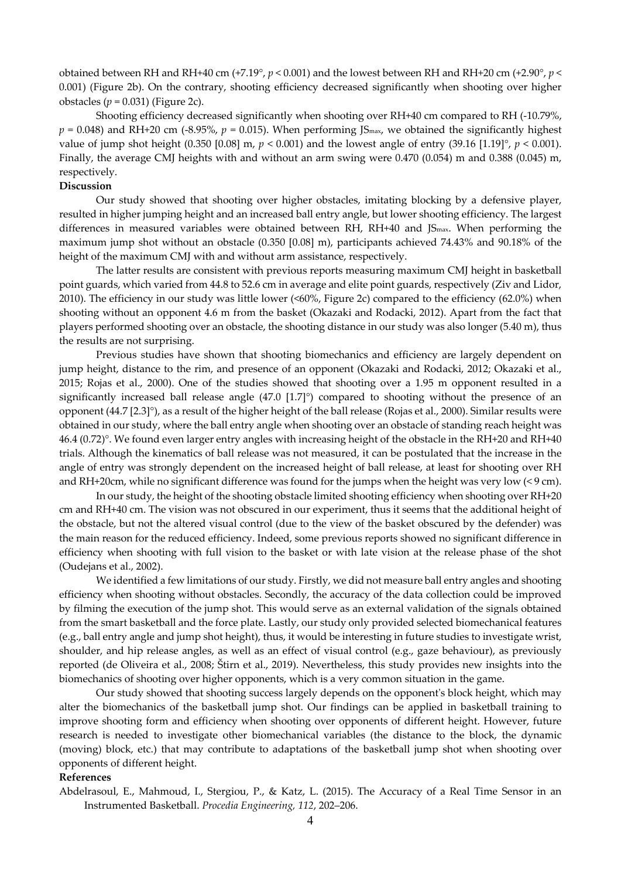obtained between RH and RH+40 cm (+7.19°, *p* < 0.001) and the lowest between RH and RH+20 cm (+2.90°, *p* < 0.001) (Figure 2b). On the contrary, shooting efficiency decreased significantly when shooting over higher obstacles  $(p = 0.031)$  (Figure 2c).

Shooting efficiency decreased significantly when shooting over RH+40 cm compared to RH (-10.79%,  $p = 0.048$ ) and RH+20 cm (-8.95%,  $p = 0.015$ ). When performing JS<sub>max</sub>, we obtained the significantly highest value of jump shot height (0.350 [0.08] m,  $p < 0.001$ ) and the lowest angle of entry (39.16 [1.19]°,  $p < 0.001$ ). Finally, the average CMJ heights with and without an arm swing were 0.470 (0.054) m and 0.388 (0.045) m, respectively.

# **Discussion**

Our study showed that shooting over higher obstacles, imitating blocking by a defensive player, resulted in higher jumping height and an increased ball entry angle, but lower shooting efficiency. The largest differences in measured variables were obtained between RH, RH+40 and JS<sub>max</sub>. When performing the maximum jump shot without an obstacle (0.350 [0.08] m), participants achieved 74.43% and 90.18% of the height of the maximum CMJ with and without arm assistance, respectively.

The latter results are consistent with previous reports measuring maximum CMJ height in basketball point guards, which varied from 44.8 to 52.6 cm in average and elite point guards, respectively (Ziv and Lidor, 2010). The efficiency in our study was little lower (<60%, Figure 2c) compared to the efficiency (62.0%) when shooting without an opponent 4.6 m from the basket (Okazaki and Rodacki, 2012). Apart from the fact that players performed shooting over an obstacle, the shooting distance in our study was also longer (5.40 m), thus the results are not surprising.

Previous studies have shown that shooting biomechanics and efficiency are largely dependent on jump height, distance to the rim, and presence of an opponent (Okazaki and Rodacki, 2012; Okazaki et al., 2015; Rojas et al., 2000). One of the studies showed that shooting over a 1.95 m opponent resulted in a significantly increased ball release angle (47.0 [1.7]°) compared to shooting without the presence of an opponent (44.7 [2.3]°), as a result of the higher height of the ball release (Rojas et al., 2000). Similar results were obtained in our study, where the ball entry angle when shooting over an obstacle of standing reach height was 46.4 (0.72)°. We found even larger entry angles with increasing height of the obstacle in the RH+20 and RH+40 trials. Although the kinematics of ball release was not measured, it can be postulated that the increase in the angle of entry was strongly dependent on the increased height of ball release, at least for shooting over RH and RH+20cm, while no significant difference was found for the jumps when the height was very low (< 9 cm).

In our study, the height of the shooting obstacle limited shooting efficiency when shooting over RH+20 cm and RH+40 cm. The vision was not obscured in our experiment, thus it seems that the additional height of the obstacle, but not the altered visual control (due to the view of the basket obscured by the defender) was the main reason for the reduced efficiency. Indeed, some previous reports showed no significant difference in efficiency when shooting with full vision to the basket or with late vision at the release phase of the shot (Oudejans et al., 2002).

We identified a few limitations of our study. Firstly, we did not measure ball entry angles and shooting efficiency when shooting without obstacles. Secondly, the accuracy of the data collection could be improved by filming the execution of the jump shot. This would serve as an external validation of the signals obtained from the smart basketball and the force plate. Lastly, our study only provided selected biomechanical features (e.g., ball entry angle and jump shot height), thus, it would be interesting in future studies to investigate wrist, shoulder, and hip release angles, as well as an effect of visual control (e.g., gaze behaviour), as previously reported (de Oliveira et al., 2008; Štirn et al., 2019). Nevertheless, this study provides new insights into the biomechanics of shooting over higher opponents, which is a very common situation in the game.

Our study showed that shooting success largely depends on the opponent's block height, which may alter the biomechanics of the basketball jump shot. Our findings can be applied in basketball training to improve shooting form and efficiency when shooting over opponents of different height. However, future research is needed to investigate other biomechanical variables (the distance to the block, the dynamic (moving) block, etc.) that may contribute to adaptations of the basketball jump shot when shooting over opponents of different height.

### **References**

Abdelrasoul, E., Mahmoud, I., Stergiou, P., & Katz, L. (2015). The Accuracy of a Real Time Sensor in an Instrumented Basketball. *Procedia Engineering, 112*, 202–206.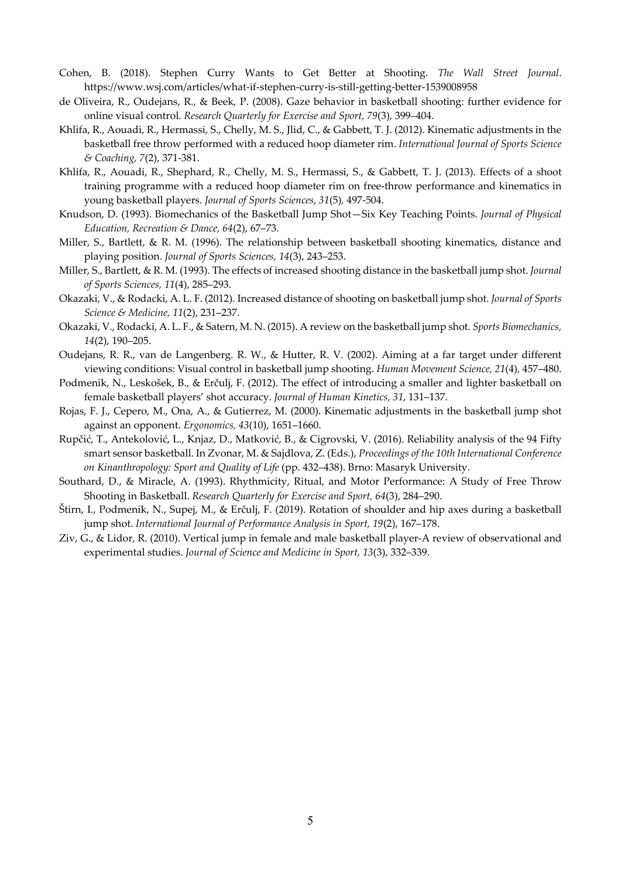- Cohen, B. (2018). Stephen Curry Wants to Get Better at Shooting. *The Wall Street Journal*. https://www.wsj.com/articles/what-if-stephen-curry-is-still-getting-better-1539008958
- de Oliveira, R., Oudejans, R., & Beek, P. (2008). Gaze behavior in basketball shooting: further evidence for online visual control. *Research Quarterly for Exercise and Sport, 79*(3), 399–404.
- Khlifa, R., Aouadi, R., Hermassi, S., Chelly, M. S., Jlid, C., & Gabbett, T. J. (2012). Kinematic adjustments in the basketball free throw performed with a reduced hoop diameter rim. *International Journal of Sports Science & Coaching, 7*(2), 371-381.
- Khlifa, R., Aouadi, R., Shephard, R., Chelly, M. S., Hermassi, S., & Gabbett, T. J. (2013). Effects of a shoot training programme with a reduced hoop diameter rim on free-throw performance and kinematics in young basketball players. *Journal of Sports Sciences*, *31*(5)*,* 497-504.
- Knudson, D. (1993). Biomechanics of the Basketball Jump Shot—Six Key Teaching Points. *Journal of Physical Education, Recreation & Dance, 64*(2), 67–73.
- Miller, S., Bartlett, & R. M. (1996). The relationship between basketball shooting kinematics, distance and playing position. *Journal of Sports Sciences, 14*(3), 243–253.
- Miller, S., Bartlett, & R. M. (1993). The effects of increased shooting distance in the basketball jump shot. *Journal of Sports Sciences, 11*(4), 285–293.
- Okazaki, V., & Rodacki, A. L. F. (2012). Increased distance of shooting on basketball jump shot. *Journal of Sports Science & Medicine, 11*(2), 231–237.
- Okazaki, V., Rodacki, A. L. F., & Satern, M. N. (2015). A review on the basketball jump shot. *Sports Biomechanics, 14*(2), 190–205.
- Oudejans, R. R., van de Langenberg. R. W., & Hutter, R. V. (2002). Aiming at a far target under different viewing conditions: Visual control in basketball jump shooting. *Human Movement Science, 21*(4)*,* 457–480.
- Podmenik, N., Leskošek, B., & Erčulj, F. (2012). The effect of introducing a smaller and lighter basketball on female basketball players' shot accuracy. *Journal of Human Kinetics, 31*, 131–137.
- Rojas, F. J., Cepero, M., Ona, A., & Gutierrez, M. (2000). Kinematic adjustments in the basketball jump shot against an opponent. *Ergonomics, 43*(10), 1651–1660.
- Rupčić, T., Antekolović, L., Knjaz, D., Matković, B., & Cigrovski, V. (2016). Reliability analysis of the 94 Fifty smart sensor basketball. In Zvonar, M. & Sajdlova, Z. (Eds.), *Proceedings of the 10th International Conference on Kinanthropology: Sport and Quality of Life* (pp. 432–438). Brno: Masaryk University.
- Southard, D., & Miracle, A. (1993). Rhythmicity, Ritual, and Motor Performance: A Study of Free Throw Shooting in Basketball. *Research Quarterly for Exercise and Sport, 64*(3), 284–290.
- Štirn, I., Podmenik, N., Supej, M., & Erčulj, F. (2019). Rotation of shoulder and hip axes during a basketball jump shot. *International Journal of Performance Analysis in Sport, 19*(2), 167–178.
- Ziv, G., & Lidor, R. (2010). Vertical jump in female and male basketball player-A review of observational and experimental studies. *Journal of Science and Medicine in Sport, 13*(3), 332–339.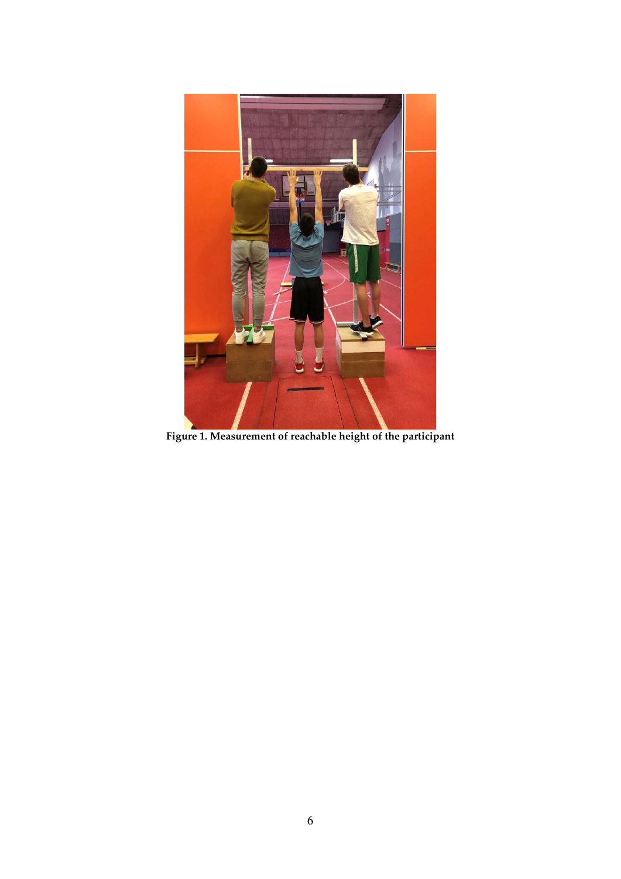

**Figure 1. Measurement of reachable height of the participant**